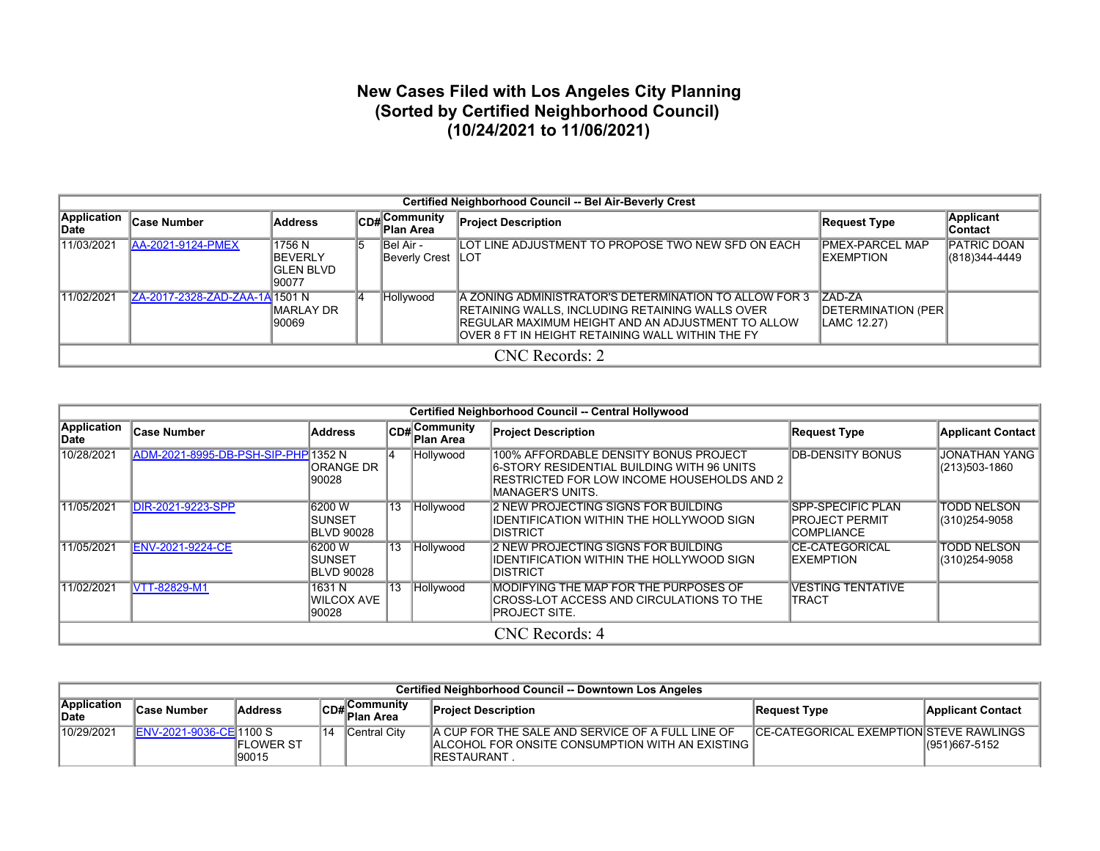## **New Cases Filed with Los Angeles City Planning (Sorted by Certified Neighborhood Council) (10/24/2021 to 11/06/2021)**

|                      | Certified Neighborhood Council -- Bel Air-Beverly Crest |                                                       |    |                                     |                                                                                                                                                                                                                    |                                               |                              |  |  |  |  |  |  |
|----------------------|---------------------------------------------------------|-------------------------------------------------------|----|-------------------------------------|--------------------------------------------------------------------------------------------------------------------------------------------------------------------------------------------------------------------|-----------------------------------------------|------------------------------|--|--|--|--|--|--|
| Application<br>lDate | <b>Case Number</b>                                      | <b>Address</b>                                        |    | $ CD_{\#} $ Community<br>∥Plan Area | <b>Project Description</b>                                                                                                                                                                                         | Request Type                                  | Applicant<br>∣Contact        |  |  |  |  |  |  |
| 11/03/2021           | <b>AA-2021-9124-PMEX</b>                                | 1756 N<br><b>BEVERLY</b><br><b>GLEN BLVD</b><br>90077 | 15 | IBel Air -<br>Beverly Crest   LOT   | LOT LINE ADJUSTMENT TO PROPOSE TWO NEW SFD ON EACH                                                                                                                                                                 | IPMEX-PARCEL MAP<br><b>IEXEMPTION</b>         | PATRIC DOAN<br>(818)344-4449 |  |  |  |  |  |  |
| 11/02/2021           | ZA-2017-2328-ZAD-ZAA-1A 1501 N                          | MARLAY DR<br>90069                                    |    | Hollywood                           | IA ZONING ADMINISTRATOR'S DETERMINATION TO ALLOW FOR 3<br>RETAINING WALLS, INCLUDING RETAINING WALLS OVER<br>REGULAR MAXIMUM HEIGHT AND AN ADJUSTMENT TO ALLOW<br>OVER 8 FT IN HEIGHT RETAINING WALL WITHIN THE FY | IZAD-ZA<br>DETERMINATION (PER)<br>LAMC 12.27) |                              |  |  |  |  |  |  |
|                      |                                                         |                                                       |    |                                     | CNC Records: 2                                                                                                                                                                                                     |                                               |                              |  |  |  |  |  |  |

|                     |                                     |                                                |    |                                  | Certified Neighborhood Council -- Central Hollywood                                                                                                                   |                                                                        |                                       |
|---------------------|-------------------------------------|------------------------------------------------|----|----------------------------------|-----------------------------------------------------------------------------------------------------------------------------------------------------------------------|------------------------------------------------------------------------|---------------------------------------|
| Application<br>Date | <b>Case Number</b>                  | <b>Address</b>                                 |    | CD#Community<br><b>Plan Area</b> | <b>Project Description</b>                                                                                                                                            | <b>Request Type</b>                                                    | <b>Applicant Contact</b>              |
| 10/28/2021          | ADM-2021-8995-DB-PSH-SIP-PHP 1352 N | IORANGE DR<br>190028                           |    | Hollywood                        | 100% AFFORDABLE DENSITY BONUS PROJECT<br><b>6-STORY RESIDENTIAL BUILDING WITH 96 UNITS</b><br><b>IRESTRICTED FOR LOW INCOME HOUSEHOLDS AND 2</b><br>IMANAGER'S UNITS. | <b>DB-DENSITY BONUS</b>                                                | <b>JONATHAN YANG</b><br>(213)503-1860 |
| 11/05/2021          | <b>DIR-2021-9223-SPP</b>            | 6200 W<br>ISUNSET<br><b>BLVD 90028</b>         |    | 13 Hollywood                     | <b>2 NEW PROJECTING SIGNS FOR BUILDING</b><br>IDENTIFICATION WITHIN THE HOLLYWOOD SIGN<br><b>IDISTRICT</b>                                                            | <b>SPP-SPECIFIC PLAN</b><br><b>PROJECT PERMIT</b><br><b>COMPLIANCE</b> | <b>TODD NELSON</b><br>(310)254-9058   |
| 11/05/2021          | <b>ENV-2021-9224-CE</b>             | 16200 W<br><b>ISUNSET</b><br><b>BLVD 90028</b> | 13 | Hollywood                        | 2 NEW PROJECTING SIGNS FOR BUILDING<br>IIDENTIFICATION WITHIN THE HOLLYWOOD SIGN<br><b>IDISTRICT</b>                                                                  | CE-CATEGORICAL<br><b>EXEMPTION</b>                                     | <b>TODD NELSON</b><br>(310)254-9058   |
| 11/02/2021          | <b>VTT-82829-M1</b>                 | 1631 N<br><b>WILCOX AVE</b><br>90028           | 13 | Hollywood                        | <b>IMODIFYING THE MAP FOR THE PURPOSES OF</b><br><b>CROSS-LOT ACCESS AND CIRCULATIONS TO THE</b><br>IPROJECT SITE.                                                    | <b>VESTING TENTATIVE</b><br><b>ITRACT</b>                              |                                       |
|                     |                                     |                                                |    |                                  | CNC Records: 4                                                                                                                                                        |                                                                        |                                       |

|                             | Certified Neighborhood Council -- Downtown Los Angeles |                            |    |                                                 |                                                                                                                                     |                                                |                   |  |  |  |  |  |  |  |
|-----------------------------|--------------------------------------------------------|----------------------------|----|-------------------------------------------------|-------------------------------------------------------------------------------------------------------------------------------------|------------------------------------------------|-------------------|--|--|--|--|--|--|--|
| <b>Application</b><br>∣Date | ∣Case Number                                           | <b>Address</b>             |    | ∣Communitv<br>lCD# C <sup>O…</sup><br>Plan Area | <b>Project Description</b>                                                                                                          | Request Type                                   | Applicant Contact |  |  |  |  |  |  |  |
| 10/29/2021                  | <b>IENV-2021-9036-CEI1100 S</b>                        | <b>IFLOWER ST</b><br>90015 | 14 | Central City                                    | A CUP FOR THE SALE AND SERVICE OF A FULL LINE OF<br><b>IALCOHOL FOR ONSITE CONSUMPTION WITH AN EXISTING I</b><br><b>IRESTAURANT</b> | <b>CE-CATEGORICAL EXEMPTION STEVE RAWLINGS</b> | (951)667-5152     |  |  |  |  |  |  |  |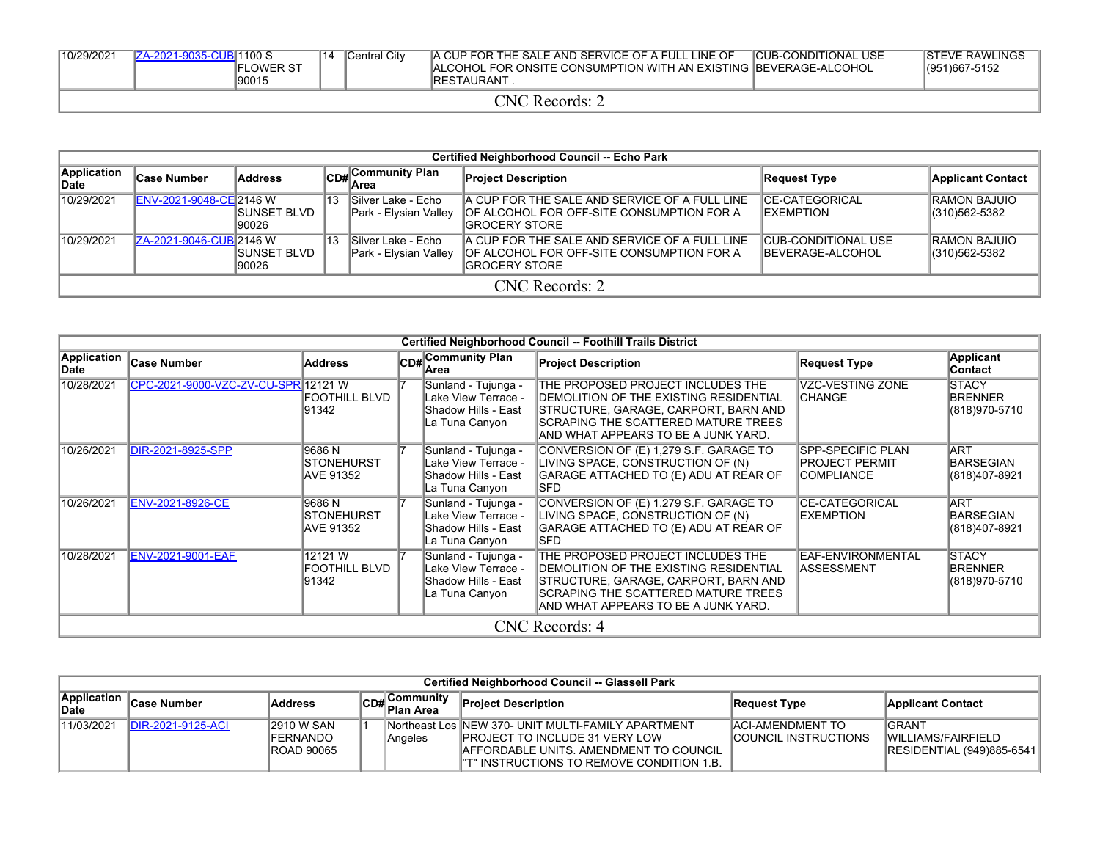| 10/29/2021 | 4-2021-9035-CUBI1100 S | 14 | Central City | A CUP FOR THE SALE AND SERVICE OF A FULL LINE OF                        | <b>ICUB-CONDITIONAL USE</b> | <b>ISTEVE RAWLINGS</b> |
|------------|------------------------|----|--------------|-------------------------------------------------------------------------|-----------------------------|------------------------|
|            | <b>FLOWER ST</b>       |    |              | <b>ALCOHOL FOR ONSITE CONSUMPTION WITH AN EXISTING BEVERAGE-ALCOHOL</b> |                             | (951)667-5152          |
|            | 190015                 |    |              | IRESTAURANT                                                             |                             |                        |

## CNC Records: 2

|                     | Certified Neighborhood Council -- Echo Park |                        |    |                                              |                                                                                                                     |                                                  |                                      |  |  |  |  |  |  |
|---------------------|---------------------------------------------|------------------------|----|----------------------------------------------|---------------------------------------------------------------------------------------------------------------------|--------------------------------------------------|--------------------------------------|--|--|--|--|--|--|
| Application<br>Date | ∣Case Number                                | <b>Address</b>         |    | CD# Community Plan<br>∥Area                  | <b>Project Description</b>                                                                                          | <b>Request Type</b>                              | <b>Applicant Contact</b>             |  |  |  |  |  |  |
| 10/29/2021          | ENV-2021-9048-CE 2146 W                     | ISUNSET BLVD<br>190026 | 13 | ISilver Lake - Echo<br>Park - Elysian Valley | A CUP FOR THE SALE AND SERVICE OF A FULL LINE<br><b>OF ALCOHOL FOR OFF-SITE CONSUMPTION FOR A</b><br>IGROCERY STORE | <b>ICE-CATEGORICAL</b><br><b>IEXEMPTION</b>      | <b>RAMON BAJUIO</b><br>(310)562-5382 |  |  |  |  |  |  |
| 10/29/2021          | ZA-2021-9046-CUB 2146 W                     | ISUNSET BLVD<br>190026 | 13 | ISilver Lake - Echo<br>Park - Elysian Valley | A CUP FOR THE SALE AND SERVICE OF A FULL LINE<br><b>OF ALCOHOL FOR OFF-SITE CONSUMPTION FOR A</b><br>IGROCERY STORE | ICUB-CONDITIONAL USE<br><b>IBEVERAGE-ALCOHOL</b> | <b>RAMON BAJUIO</b><br>(310)562-5382 |  |  |  |  |  |  |
|                     |                                             |                        |    |                                              | CNC Records: 2                                                                                                      |                                                  |                                      |  |  |  |  |  |  |

|                     |                                     |                                                  |    |                                                                                     | Certified Neighborhood Council -- Foothill Trails District                                                                                                                                                         |                                                                   |                                                  |
|---------------------|-------------------------------------|--------------------------------------------------|----|-------------------------------------------------------------------------------------|--------------------------------------------------------------------------------------------------------------------------------------------------------------------------------------------------------------------|-------------------------------------------------------------------|--------------------------------------------------|
| Application<br>Date | Case Number                         | <b>Address</b>                                   |    | CD# Community Plan<br>lArea                                                         | <b>Project Description</b>                                                                                                                                                                                         | <b>Request Type</b>                                               | <b>Applicant</b><br>Contact                      |
| 10/28/2021          | CPC-2021-9000-VZC-ZV-CU-SPR 12121 W | FOOTHILL BLVD<br>191342                          |    | Sunland - Tujunga -<br>Lake View Terrace -<br>Shadow Hills - East<br>La Tuna Canyon | THE PROPOSED PROJECT INCLUDES THE<br>IDEMOLITION OF THE EXISTING RESIDENTIAL<br><b>ISTRUCTURE, GARAGE, CARPORT, BARN AND</b><br><b>ISCRAPING THE SCATTERED MATURE TREES</b><br>AND WHAT APPEARS TO BE A JUNK YARD. | VZC-VESTING ZONE<br><b>ICHANGE</b>                                | <b>STACY</b><br><b>BRENNER</b><br>(818) 970-5710 |
| 10/26/2021          | DIR-2021-8925-SPP                   | 9686 N<br><b>ISTONEHURST</b><br>IAVE 91352       |    | Sunland - Tujunga -<br>Lake View Terrace -<br>Shadow Hills - East<br>La Tuna Canyon | CONVERSION OF (E) 1,279 S.F. GARAGE TO<br>LIVING SPACE, CONSTRUCTION OF (N)<br>GARAGE ATTACHED TO (E) ADU AT REAR OF<br>ISFD.                                                                                      | ISPP-SPECIFIC PLAN<br><b>PROJECT PERMIT</b><br><b>ICOMPLIANCE</b> | <b>ART</b><br>BARSEGIAN<br>(818)407-8921         |
| 10/26/2021          | <b>ENV-2021-8926-CE</b>             | 9686 N<br><b>ISTONEHURST</b><br><b>AVE 91352</b> |    | Sunland - Tujunga -<br>Lake View Terrace -<br>Shadow Hills - East<br>La Tuna Canyon | CONVERSION OF (E) 1,279 S.F. GARAGE TO<br>LIVING SPACE, CONSTRUCTION OF (N)<br>GARAGE ATTACHED TO (E) ADU AT REAR OF<br>ISFD.                                                                                      | <b>CE-CATEGORICAL</b><br><b>EXEMPTION</b>                         | <b>ART</b><br><b>BARSEGIAN</b><br>(818)407-8921  |
| 10/28/2021          | <b>ENV-2021-9001-EAF</b>            | 12121W<br>FOOTHILL BLVD<br>191342                | 17 | Sunland - Tujunga -<br>Lake View Terrace -<br>Shadow Hills - East<br>La Tuna Canyon | THE PROPOSED PROJECT INCLUDES THE<br><b>IDEMOLITION OF THE EXISTING RESIDENTIAL</b><br>STRUCTURE, GARAGE, CARPORT, BARN AND<br>SCRAPING THE SCATTERED MATURE TREES<br>IAND WHAT APPEARS TO BE A JUNK YARD.         | EAF-ENVIRONMENTAL<br><b>ASSESSMENT</b>                            | <b>STACY</b><br><b>BRENNER</b><br>(818) 970-5710 |
|                     |                                     |                                                  |    |                                                                                     | CNC Records: 4                                                                                                                                                                                                     |                                                                   |                                                  |

|                      | Certified Neighborhood Council -- Glassell Park |                                                            |  |                                                    |                                                                                                                                                                                          |                                                         |                                                                   |  |  |  |  |  |
|----------------------|-------------------------------------------------|------------------------------------------------------------|--|----------------------------------------------------|------------------------------------------------------------------------------------------------------------------------------------------------------------------------------------------|---------------------------------------------------------|-------------------------------------------------------------------|--|--|--|--|--|
| Application<br>∣Date | ∣Case Number                                    | <b>Address</b>                                             |  | $\left \mathsf{CDH}\right $ Community<br>Plan Area | <b>Project Description</b>                                                                                                                                                               | Request Type                                            | <b>Applicant Contact</b>                                          |  |  |  |  |  |
| 11/03/2021           | DIR-2021-9125-ACI                               | <b>2910 W SAN</b><br><b>FERNANDO</b><br><b>IROAD 90065</b> |  | Angeles                                            | INortheast Los INEW 370- UNIT MULTI-FAMILY APARTMENT<br><b>IPROJECT TO INCLUDE 31 VERY LOW</b><br>IAFFORDABLE UNITS. AMENDMENT TO COUNCIL<br>I''T" INSTRUCTIONS TO REMOVE CONDITION 1.B. | <b>IACI-AMENDMENT TO</b><br><b>COUNCIL INSTRUCTIONS</b> | <b>IGRANT</b><br>WILLIAMS/FAIRFIELD<br> RESIDENTIAL (949)885-6541 |  |  |  |  |  |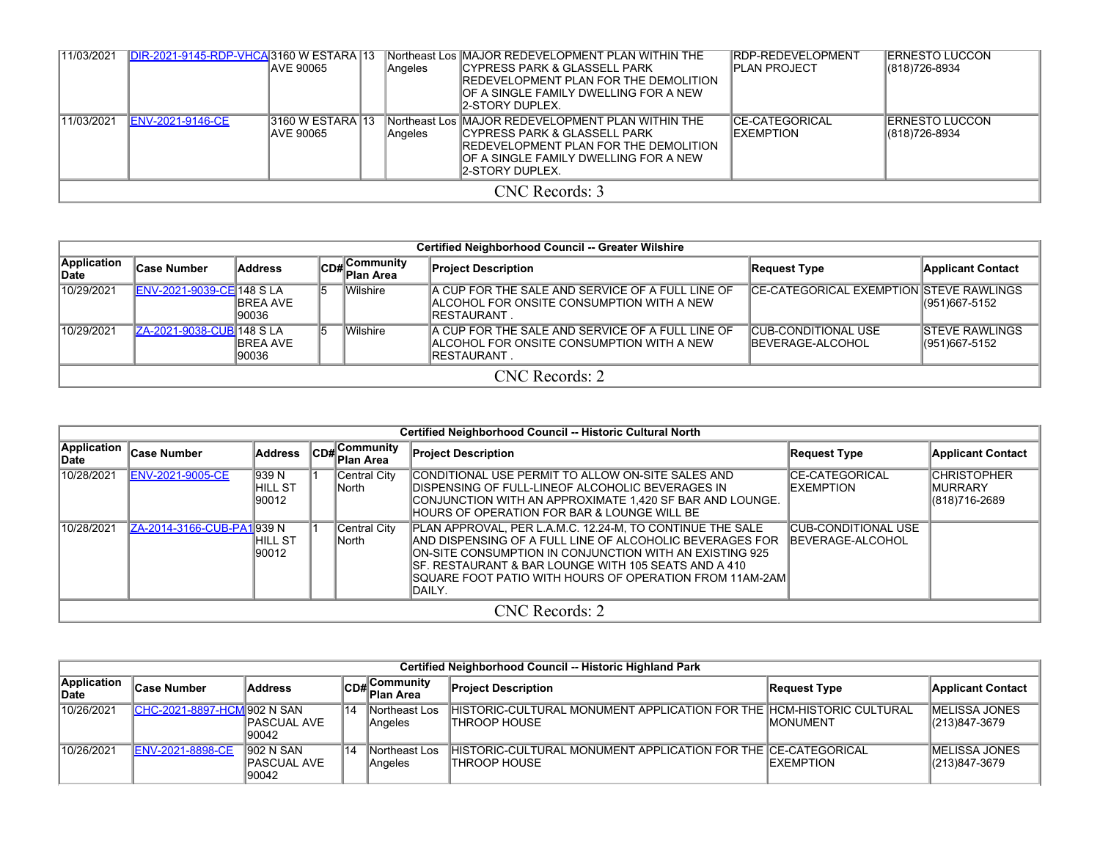| 11/03/2021 | DIR-2021-9145-RDP-VHCA3160 W ESTARA 13 | <b>IAVE 90065</b>              |  | <b>Angeles</b> | Northeast Los MAJOR REDEVELOPMENT PLAN WITHIN THE<br>ICYPRESS PARK & GLASSELL PARK<br>IREDEVELOPMENT PLAN FOR THE DEMOLITION<br>IOF A SINGLE FAMILY DWELLING FOR A NEW<br>12-STORY DUPLEX. | IRDP-REDEVELOPMENT<br>IPLAN PROJECT  | <b>ERNESTO LUCCON</b><br>(818)726-8934 |  |  |  |  |  |
|------------|----------------------------------------|--------------------------------|--|----------------|--------------------------------------------------------------------------------------------------------------------------------------------------------------------------------------------|--------------------------------------|----------------------------------------|--|--|--|--|--|
| 11/03/2021 | <b>ENV-2021-9146-CE</b>                | 3160 W ESTARA 13<br>IAVE 90065 |  | Angeles        | Northeast Los MAJOR REDEVELOPMENT PLAN WITHIN THE<br>ICYPRESS PARK & GLASSELL PARK<br>IREDEVELOPMENT PLAN FOR THE DEMOLITION<br>IOF A SINGLE FAMILY DWELLING FOR A NEW<br>12-STORY DUPLEX. | ICE-CATEGORICAL<br><b>IEXEMPTION</b> | IERNESTO LUCCON<br>(818)726-8934       |  |  |  |  |  |
|            | CNC Records: 3                         |                                |  |                |                                                                                                                                                                                            |                                      |                                        |  |  |  |  |  |

|                      | <b>Certified Neighborhood Council -- Greater Wilshire</b> |                           |    |                           |                                                                                                                       |                                                 |                                             |  |  |  |  |  |
|----------------------|-----------------------------------------------------------|---------------------------|----|---------------------------|-----------------------------------------------------------------------------------------------------------------------|-------------------------------------------------|---------------------------------------------|--|--|--|--|--|
| Application<br>∣Date | ∣Case Number                                              | Address                   |    | CD#Community<br>Plan Area | <b>Project Description</b>                                                                                            | Request Type                                    | <b>Applicant Contact</b>                    |  |  |  |  |  |
| 10/29/2021           | <b>ENV-2021-9039-CE 148 S LA</b>                          | <b>IBREA AVE</b><br>90036 | 15 | <b>Wilshire</b>           | A CUP FOR THE SALE AND SERVICE OF A FULL LINE OF<br>IALCOHOL FOR ONSITE CONSUMPTION WITH A NEW<br>IRESTAURANT.        | <b>CE-CATEGORICAL EXEMPTION STEVE RAWLINGS</b>  | $ (951)667-5152$                            |  |  |  |  |  |
| 10/29/2021           | ZA-2021-9038-CUB 148 SLA                                  | <b>IBREA AVE</b><br>90036 |    | <b>Wilshire</b>           | A CUP FOR THE SALE AND SERVICE OF A FULL LINE OF<br><b>IALCOHOL FOR ONSITE CONSUMPTION WITH A NEW</b><br>IRESTAURANT. | <b>CUB-CONDITIONAL USE</b><br>IBEVERAGE-ALCOHOL | <b>ISTEVE RAWLINGS</b><br>$ (951)667-5152 $ |  |  |  |  |  |
|                      | CNC Records: 2                                            |                           |    |                           |                                                                                                                       |                                                 |                                             |  |  |  |  |  |

|                             | Certified Neighborhood Council -- Historic Cultural North |                            |  |                                       |                                                                                                                                                                                                                                                                                                                           |                                           |                                                        |  |  |  |  |  |  |
|-----------------------------|-----------------------------------------------------------|----------------------------|--|---------------------------------------|---------------------------------------------------------------------------------------------------------------------------------------------------------------------------------------------------------------------------------------------------------------------------------------------------------------------------|-------------------------------------------|--------------------------------------------------------|--|--|--|--|--|--|
| <b>Application</b><br>∣Date | <b>Case Number</b>                                        | Address                    |  | $ CDH $ Community<br><b>Plan Area</b> | <b>Project Description</b>                                                                                                                                                                                                                                                                                                | <b>Request Type</b>                       | <b>Applicant Contact</b>                               |  |  |  |  |  |  |
| 10/28/2021                  | ENV-2021-9005-CE                                          | 939 N<br>IHILL ST<br>90012 |  | Central City<br>lNorth                | CONDITIONAL USE PERMIT TO ALLOW ON-SITE SALES AND<br><b>IDISPENSING OF FULL-LINEOF ALCOHOLIC BEVERAGES IN</b><br>ICONJUNCTION WITH AN APPROXIMATE 1.420 SF BAR AND LOUNGE.<br><b>IHOURS OF OPERATION FOR BAR &amp; LOUNGE WILL BE</b>                                                                                     | <b>CE-CATEGORICAL</b><br><b>EXEMPTION</b> | <b>CHRISTOPHER</b><br><b>IMURRARY</b><br>(818)716-2689 |  |  |  |  |  |  |
| 10/28/2021                  | ZA-2014-3166-CUB-PA1939 N                                 | IHILL ST<br>190012         |  | Central City<br>lNorth l              | PLAN APPROVAL, PER L.A.M.C. 12.24-M, TO CONTINUE THE SALE<br>AND DISPENSING OF A FULL LINE OF ALCOHOLIC BEVERAGES FOR<br>ION-SITE CONSUMPTION IN CONJUNCTION WITH AN EXISTING 925<br>ISF. RESTAURANT & BAR LOUNGE WITH 105 SEATS AND A 410<br><b>ISQUARE FOOT PATIO WITH HOURS OF OPERATION FROM 11AM-2AMI</b><br>IDAILY. | ICUB-CONDITIONAL USE<br>BEVERAGE-ALCOHOL  |                                                        |  |  |  |  |  |  |
|                             |                                                           |                            |  |                                       | CNC Records: 2                                                                                                                                                                                                                                                                                                            |                                           |                                                        |  |  |  |  |  |  |

|                      | Certified Neighborhood Council -- Historic Highland Park |                                    |    |                                                  |                                                                                         |                   |                                        |  |  |  |  |  |  |
|----------------------|----------------------------------------------------------|------------------------------------|----|--------------------------------------------------|-----------------------------------------------------------------------------------------|-------------------|----------------------------------------|--|--|--|--|--|--|
| Application<br>∣Date | ∣Case Number                                             | <b>Address</b>                     |    | ∥Community<br>lCD#∣ <sup>Com.</sup><br>Plan Area | <b>Project Description</b>                                                              | Request Type      | <b>Applicant Contact</b>               |  |  |  |  |  |  |
| 10/26/2021           | <b>CHC-2021-8897-HCM 902 N SAN</b>                       | IPASCUAL AVE<br>90042              | 14 | Northeast Los<br>Angeles                         | IHISTORIC-CULTURAL MONUMENT APPLICATION FOR THE IHCM-HISTORIC CULTURAL<br>ITHROOP HOUSE | <b>IMONUMENT</b>  | <b>IMELISSA JONES</b><br>(213)847-3679 |  |  |  |  |  |  |
| 10/26/2021           | ENV-2021-8898-CE                                         | 902 N SAN<br>IPASCUAL AVE<br>90042 | 14 | Northeast Los<br>Angeles                         | IHISTORIC-CULTURAL MONUMENT APPLICATION FOR THE ICE-CATEGORICAL<br>ITHROOP HOUSE        | <b>IEXEMPTION</b> | <b>IMELISSA JONES</b><br>(213)847-3679 |  |  |  |  |  |  |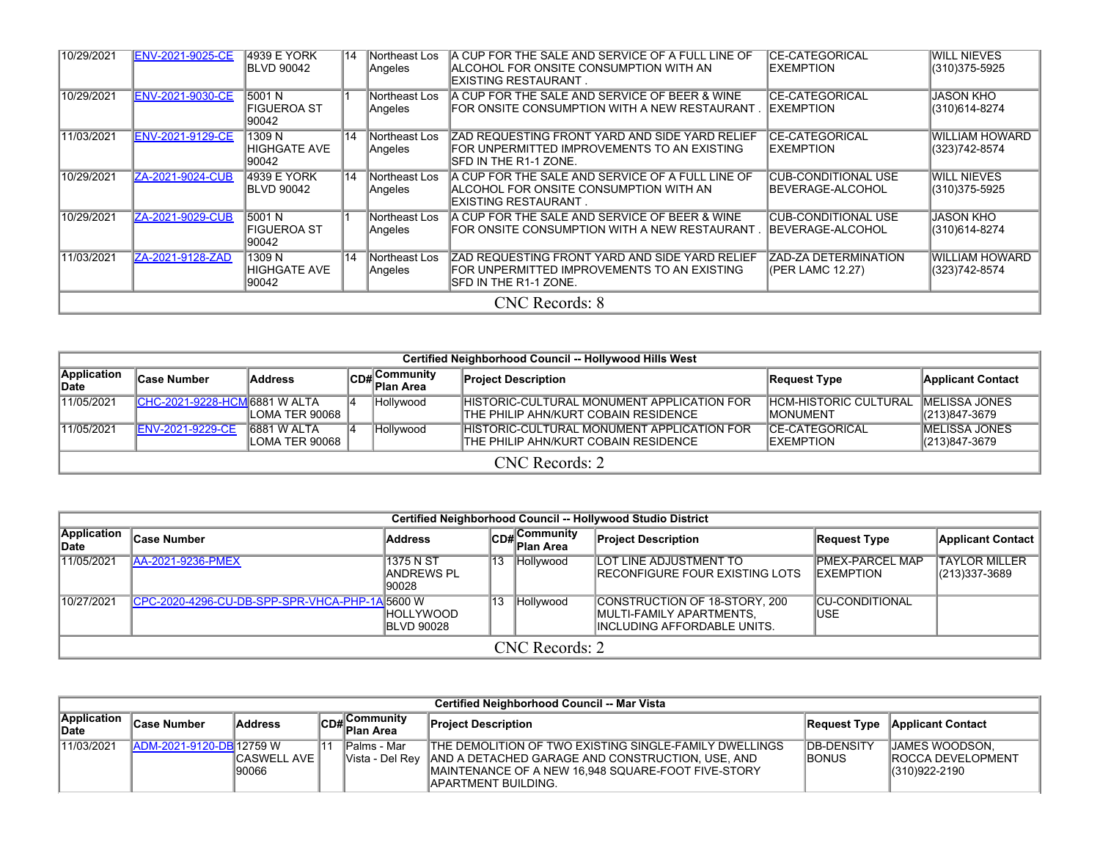| 10/29/2021 | <b>ENV-2021-9025-CE</b> | <b>4939 E YORK</b><br><b>BLVD 90042</b> | 14 | Northeast Los<br>Angeles | IA CUP FOR THE SALE AND SERVICE OF A FULL LINE OF<br><b>ALCOHOL FOR ONSITE CONSUMPTION WITH AN</b><br>IEXISTING RESTAURANT . | ICE-CATEGORICAL<br><b>IEXEMPTION</b>             | <b>WILL NIEVES</b><br>(310) 375-5925    |  |  |  |  |  |
|------------|-------------------------|-----------------------------------------|----|--------------------------|------------------------------------------------------------------------------------------------------------------------------|--------------------------------------------------|-----------------------------------------|--|--|--|--|--|
| 10/29/2021 | <b>ENV-2021-9030-CE</b> | 15001 N<br><b>FIGUEROA ST</b><br>90042  |    | Northeast Los<br>Angeles | A CUP FOR THE SALE AND SERVICE OF BEER & WINE<br>IFOR ONSITE CONSUMPTION WITH A NEW RESTAURANT                               | <b>CE-CATEGORICAL</b><br><b>IEXEMPTION</b>       | JASON KHO<br>(310)614-8274              |  |  |  |  |  |
| 11/03/2021 | ENV-2021-9129-CE        | 1309 N<br>HIGHGATE AVE<br>90042         | 14 | Northeast Los<br>Angeles | IZAD REQUESTING FRONT YARD AND SIDE YARD RELIEF<br>FOR UNPERMITTED IMPROVEMENTS TO AN EXISTING<br>ISFD IN THE R1-1 ZONE.     | <b>CE-CATEGORICAL</b><br><b>IEXEMPTION</b>       | <b>WILLIAM HOWARD</b><br>(323) 742-8574 |  |  |  |  |  |
| 10/29/2021 | ZA-2021-9024-CUB        | 4939 E YORK<br><b>BLVD 90042</b>        | 14 | Northeast Los<br>Angeles | A CUP FOR THE SALE AND SERVICE OF A FULL LINE OF<br><b>ALCOHOL FOR ONSITE CONSUMPTION WITH AN</b><br>IEXISTING RESTAURANT    | <b>CUB-CONDITIONAL USE</b><br>BEVERAGE-ALCOHOL   | <b>WILL NIEVES</b><br>(310) 375-5925    |  |  |  |  |  |
| 10/29/2021 | ZA-2021-9029-CUB        | 15001 N<br><b>FIGUEROA ST</b><br>90042  |    | Northeast Los<br>Angeles | A CUP FOR THE SALE AND SERVICE OF BEER & WINE<br>IFOR ONSITE CONSUMPTION WITH A NEW RESTAURANT                               | ICUB-CONDITIONAL USE<br><b>IBEVERAGE-ALCOHOL</b> | JASON KHO<br>(310)614-8274              |  |  |  |  |  |
| 11/03/2021 | ZA-2021-9128-ZAD        | 1309 N<br>HIGHGATE AVE<br>90042         | 14 | Northeast Los<br>Angeles | IZAD REQUESTING FRONT YARD AND SIDE YARD RELIEF<br>FOR UNPERMITTED IMPROVEMENTS TO AN EXISTING<br>ISFD IN THE R1-1 ZONE.     | <b>ZAD-ZA DETERMINATION</b><br>(PER LAMC 12.27)  | <b>WILLIAM HOWARD</b><br>(323)742-8574  |  |  |  |  |  |
|            | <b>CNC</b> Records: 8   |                                         |    |                          |                                                                                                                              |                                                  |                                         |  |  |  |  |  |

|                      | Certified Neighborhood Council -- Hollywood Hills West |                                      |           |                             |                                                                                            |                                                  |                                           |  |  |  |  |  |  |
|----------------------|--------------------------------------------------------|--------------------------------------|-----------|-----------------------------|--------------------------------------------------------------------------------------------|--------------------------------------------------|-------------------------------------------|--|--|--|--|--|--|
| Application<br>∣Date | <b>Case Number</b>                                     | <b>Address</b>                       |           | Community<br>lCD# Plan Area | <b>Project Description</b>                                                                 | Request Type                                     | <b>Applicant Contact</b>                  |  |  |  |  |  |  |
| 11/05/2021           | CHC-2021-9228-HCM 6881 W ALTA                          | LOMA TER 90068                       | 14        | Hollywood                   | <b>HISTORIC-CULTURAL MONUMENT APPLICATION FOR</b><br>ITHE PHILIP AHN/KURT COBAIN RESIDENCE | <b>HCM-HISTORIC CULTURAL</b><br><b>IMONUMENT</b> | <b>IMELISSA JONES</b><br>$ (213)847-3679$ |  |  |  |  |  |  |
| 11/05/2021           | <b>ENV-2021-9229-CE</b>                                | <b>6881 W ALTA</b><br>LOMA TER 90068 | $\vert 4$ | Hollywood                   | IHISTORIC-CULTURAL MONUMENT APPLICATION FOR<br>ITHE PHILIP AHN/KURT COBAIN RESIDENCE       | <b>ICE-CATEGORICAL</b><br><b>IEXEMPTION</b>      | <b>IMELISSA JONES</b><br>(213)847-3679    |  |  |  |  |  |  |
|                      | CNC Records: 2                                         |                                      |           |                             |                                                                                            |                                                  |                                           |  |  |  |  |  |  |

|                      | Certified Neighborhood Council -- Hollywood Studio District |                                           |     |                            |                                                                                           |                                            |                                       |  |  |  |  |  |  |  |
|----------------------|-------------------------------------------------------------|-------------------------------------------|-----|----------------------------|-------------------------------------------------------------------------------------------|--------------------------------------------|---------------------------------------|--|--|--|--|--|--|--|
| Application<br>∣Date | ∣Case Number                                                | Address                                   |     | CD# Community<br>Plan Area | <b>Project Description</b>                                                                | Request Type                               | Applicant Contact                     |  |  |  |  |  |  |  |
| 11/05/2021           | <b>AA-2021-9236-PMEX</b>                                    | 1375 N ST<br><b>JANDREWS PL</b><br>190028 | ‼13 | Hollywood                  | <b>ILOT LINE ADJUSTMENT TO</b><br><b>IRECONFIGURE FOUR EXISTING LOTS</b>                  | <b>PMEX-PARCEL MAP</b><br><b>EXEMPTION</b> | <b>TAYLOR MILLER</b><br>(213)337-3689 |  |  |  |  |  |  |  |
| 10/27/2021           | ICPC-2020-4296-CU-DB-SPP-SPR-VHCA-PHP-1A 5600 W             | <b>IHOLLYWOOD</b><br><b>IBLVD 90028</b>   | 13  | Hollywood                  | CONSTRUCTION OF 18-STORY, 200<br>MULTI-FAMILY APARTMENTS.<br>IINCLUDING AFFORDABLE UNITS. | ICU-CONDITIONAL<br>USE                     |                                       |  |  |  |  |  |  |  |
|                      |                                                             |                                           |     | CNC Records: 2             |                                                                                           |                                            |                                       |  |  |  |  |  |  |  |

|                             | Certified Neighborhood Council -- Mar Vista |                        |  |                                                                              |                                                                                                                                                                                                            |                                     |                                                                     |  |  |  |  |  |  |  |  |
|-----------------------------|---------------------------------------------|------------------------|--|------------------------------------------------------------------------------|------------------------------------------------------------------------------------------------------------------------------------------------------------------------------------------------------------|-------------------------------------|---------------------------------------------------------------------|--|--|--|--|--|--|--|--|
| Application<br><b>IDate</b> | <b>Case Number</b>                          | Address                |  | ⊿∟Communit∨<br>$\mathsf{ICD}\texttt{H}^{\mathsf{LOI}}_{\mathsf{Plan\,Area}}$ | <b>Project Description</b>                                                                                                                                                                                 |                                     | <b>Request Type Applicant Contact</b>                               |  |  |  |  |  |  |  |  |
| 11/03/2021                  | <b>IADM-2021-9120-DB 12759 W</b>            | CASWELL AVE  <br>90066 |  | <b>IPalms</b> - Mar                                                          | THE DEMOLITION OF TWO EXISTING SINGLE-FAMILY DWELLINGS<br>Vista - Del Rey   AND A DETACHED GARAGE AND CONSTRUCTION, USE, AND<br>MAINTENANCE OF A NEW 16,948 SQUARE-FOOT FIVE-STORY<br>IAPARTMENT BUILDING. | <b>IDB-DENSITY</b><br><b>IBONUS</b> | <b>JAMES WOODSON.</b><br><b>IROCCA DEVELOPMENT</b><br>(310)922-2190 |  |  |  |  |  |  |  |  |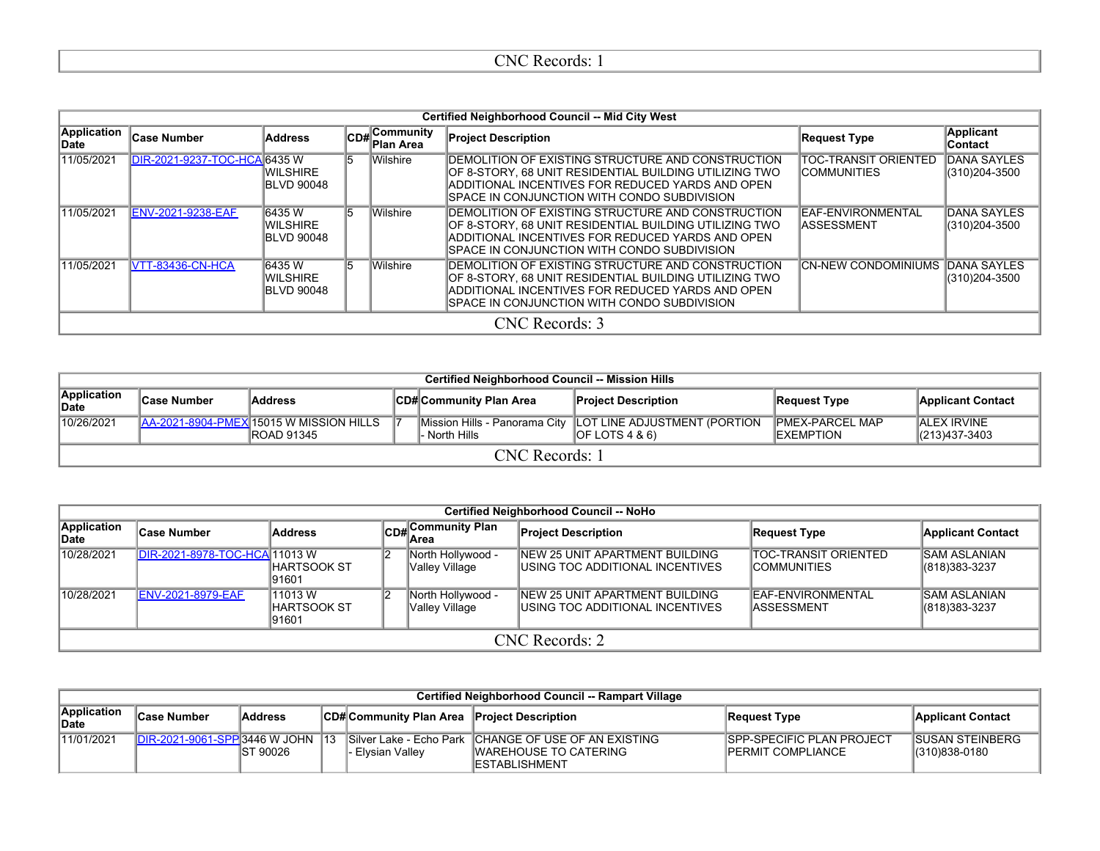| . .<br>.<br>≐lNi<br>xecolus.<br>. . |  |
|-------------------------------------|--|
|                                     |  |

|                             | <b>Certified Neighborhood Council -- Mid City West</b> |                                                |    |                           |                                                                                                                                                                                                                  |                                                   |                                      |  |  |  |  |  |  |
|-----------------------------|--------------------------------------------------------|------------------------------------------------|----|---------------------------|------------------------------------------------------------------------------------------------------------------------------------------------------------------------------------------------------------------|---------------------------------------------------|--------------------------------------|--|--|--|--|--|--|
| <b>Application</b><br>∣Date | <b>Case Number</b>                                     | <b>Address</b>                                 |    | CD#Community<br>Plan Area | <b>Project Description</b>                                                                                                                                                                                       | <b>Request Type</b>                               | <b>Applicant</b><br><b>Contact</b>   |  |  |  |  |  |  |
| 11/05/2021                  | DIR-2021-9237-TOC-HCA 6435 W                           | IWILSHIRE<br><b>BLVD 90048</b>                 | 15 | <b>Wilshire</b>           | DEMOLITION OF EXISTING STRUCTURE AND CONSTRUCTION<br>OF 8-STORY, 68 UNIT RESIDENTIAL BUILDING UTILIZING TWO<br>ADDITIONAL INCENTIVES FOR REDUCED YARDS AND OPEN<br>ISPACE IN CONJUNCTION WITH CONDO SUBDIVISION. | <b>TOC-TRANSIT ORIENTED</b><br><b>COMMUNITIES</b> | <b>DANA SAYLES</b><br>(310) 204-3500 |  |  |  |  |  |  |
| 11/05/2021                  | <b>ENV-2021-9238-EAF</b>                               | 6435 W<br><b>WILSHIRE</b><br><b>BLVD 90048</b> | 15 | <b>Wilshire</b>           | DEMOLITION OF EXISTING STRUCTURE AND CONSTRUCTION<br>OF 8-STORY, 68 UNIT RESIDENTIAL BUILDING UTILIZING TWO<br>ADDITIONAL INCENTIVES FOR REDUCED YARDS AND OPEN<br>ISPACE IN CONJUNCTION WITH CONDO SUBDIVISION. | EAF-ENVIRONMENTAL<br>ASSESSMENT                   | <b>DANA SAYLES</b><br>(310)204-3500  |  |  |  |  |  |  |
| 11/05/2021                  | VTT-83436-CN-HCA                                       | 6435 W<br>IWILSHIRE<br><b>BLVD 90048</b>       | 15 | <b>Wilshire</b>           | DEMOLITION OF EXISTING STRUCTURE AND CONSTRUCTION<br>OF 8-STORY, 68 UNIT RESIDENTIAL BUILDING UTILIZING TWO<br>ADDITIONAL INCENTIVES FOR REDUCED YARDS AND OPEN<br>ISPACE IN CONJUNCTION WITH CONDO SUBDIVISION. | <b>CN-NEW CONDOMINIUMS DANA SAYLES</b>            | (310)204-3500                        |  |  |  |  |  |  |
|                             |                                                        |                                                |    |                           | CNC Records: 3                                                                                                                                                                                                   |                                                   |                                      |  |  |  |  |  |  |

|                      | <b>Certified Neighborhood Council -- Mission Hills</b> |                                                         |  |                        |                                                                                   |                                              |                                        |  |  |  |  |  |  |  |
|----------------------|--------------------------------------------------------|---------------------------------------------------------|--|------------------------|-----------------------------------------------------------------------------------|----------------------------------------------|----------------------------------------|--|--|--|--|--|--|--|
| Application<br>∣Date | ∣Case Number                                           | Address                                                 |  | CD#Community Plan Area | <b>Project Description</b>                                                        | Request Type                                 | <b>Applicant Contact</b>               |  |  |  |  |  |  |  |
| 10/26/2021           |                                                        | IAA-2021-8904-PMEXI15015 W MISSION HILLS<br> ROAD 91345 |  | l- North Hills         | Mission Hills - Panorama City   LOT LINE ADJUSTMENT (PORTION<br>$IOF$ LOTS 4 & 6) | <b>IPMEX-PARCEL MAP</b><br><b>IEXEMPTION</b> | <b>ALEX IRVINE</b><br>$ (213)437-3403$ |  |  |  |  |  |  |  |
|                      | CNC Records: 1                                         |                                                         |  |                        |                                                                                   |                                              |                                        |  |  |  |  |  |  |  |

|                      |                               |                                 |    |                                      | Certified Neighborhood Council -- NoHo                             |                                                    |                                         |
|----------------------|-------------------------------|---------------------------------|----|--------------------------------------|--------------------------------------------------------------------|----------------------------------------------------|-----------------------------------------|
| Application<br>∣Date | <b>Case Number</b>            | Address                         |    | CD# Community Plan                   | <b>Project Description</b>                                         | <b>Request Type</b>                                | <b>Applicant Contact</b>                |
| 10/28/2021           | DIR-2021-8978-TOC-HCA 11013 W | IHARTSOOK ST<br>91601           | 12 | North Hollywood -<br> Valley Village | NEW 25 UNIT APARTMENT BUILDING<br>USING TOC ADDITIONAL INCENTIVES  | <b>TOC-TRANSIT ORIENTED</b><br><b>ICOMMUNITIES</b> | <b>SAM ASLANIAN</b><br>$ (818)383-3237$ |
| 10/28/2021           | <b>ENV-2021-8979-EAF</b>      | 11013W<br> HARTSOOK ST<br>91601 | 12 | North Hollywood -<br>Valley Village  | NEW 25 UNIT APARTMENT BUILDING<br>IUSING TOC ADDITIONAL INCENTIVES | <b>IEAF-ENVIRONMENTAL</b><br><b>IASSESSMENT</b>    | ISAM ASLANIAN<br>$ (818)383-3237$       |
|                      |                               |                                 |    |                                      | CNC Records: 2                                                     |                                                    |                                         |

|                      | Certified Neighborhood Council -- Rampart Village |           |  |                                            |                                                                                                  |                                                                |                                          |  |  |  |  |  |  |
|----------------------|---------------------------------------------------|-----------|--|--------------------------------------------|--------------------------------------------------------------------------------------------------|----------------------------------------------------------------|------------------------------------------|--|--|--|--|--|--|
| Application<br>∣Date | lCase Number                                      | Address   |  | CD#Community Plan Area Project Description |                                                                                                  | Request Type                                                   | <b>Applicant Contact</b>                 |  |  |  |  |  |  |
| 11/01/2021           | <b>IDIR-2021-9061-SPP 3446 W JOHN</b>             | IST 90026 |  | · Elvsian Vallev                           | Silver Lake - Echo Park CHANGE OF USE OF AN EXISTING<br>IWAREHOUSE TO CATERING<br>IESTABLISHMENT | <b>ISPP-SPECIFIC PLAN PROJECT</b><br><b>IPERMIT COMPLIANCE</b> | <b>ISUSAN STEINBERG</b><br>(310)838-0180 |  |  |  |  |  |  |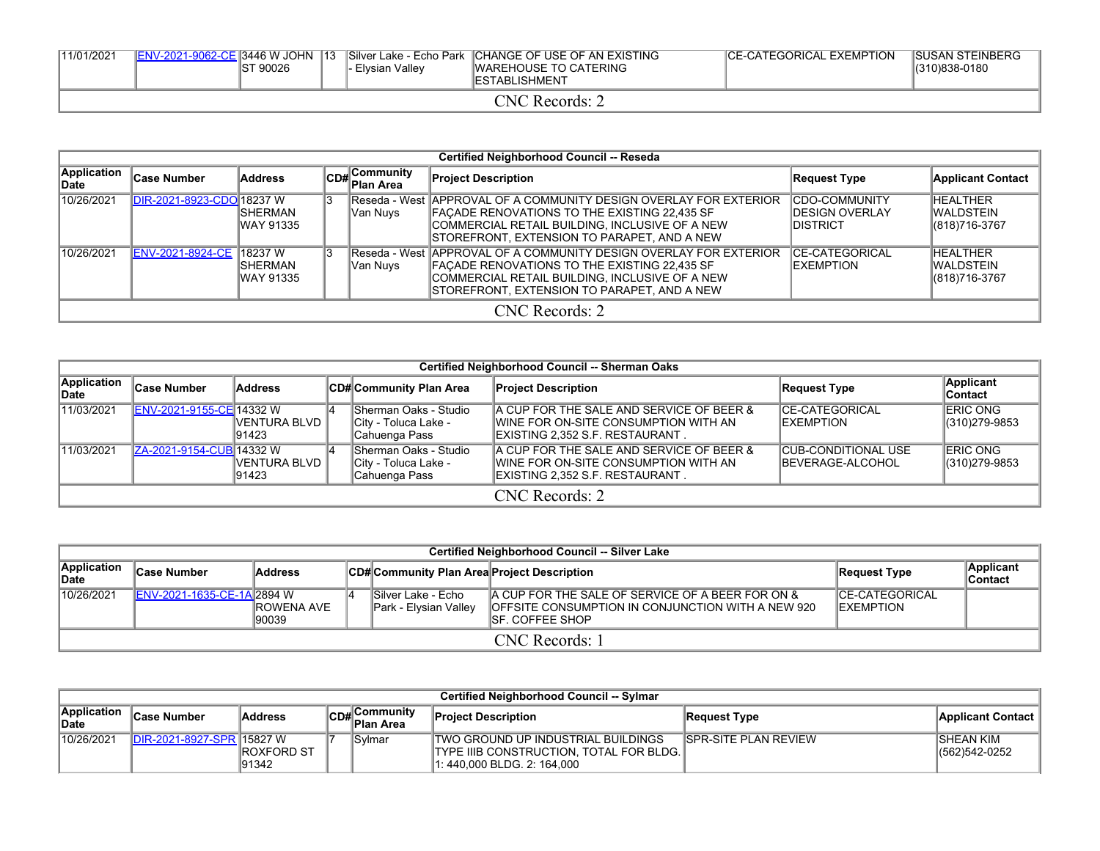| 11/01/2021                   | <b>IENV-2021-9062-CE 3446 W JOHN</b> | IST 90026 | $\overline{13}$ | Elysian Valley | Silver Lake - Echo Park CHANGE OF USE OF AN EXISTING<br><b>IWAREHOUSE TO CATERING</b><br><b>IESTABLISHMENT</b> | <b>CE-CATEGORICAL EXEMPTION</b> | <b>ISUSAN STEINBERG</b><br>(310)838-0180 |  |  |  |  |
|------------------------------|--------------------------------------|-----------|-----------------|----------------|----------------------------------------------------------------------------------------------------------------|---------------------------------|------------------------------------------|--|--|--|--|
| $\Box$ N $C$<br>' Records: . |                                      |           |                 |                |                                                                                                                |                                 |                                          |  |  |  |  |

|                      | <b>Certified Neighborhood Council -- Reseda</b> |                              |  |                                           |                                                                                                                                                                                                                      |                                                              |                                                |  |  |  |  |  |
|----------------------|-------------------------------------------------|------------------------------|--|-------------------------------------------|----------------------------------------------------------------------------------------------------------------------------------------------------------------------------------------------------------------------|--------------------------------------------------------------|------------------------------------------------|--|--|--|--|--|
| Application<br>∥Date | <b>Case Number</b>                              | <b>Address</b>               |  | $ CD_{\#} $ Community<br><b>Plan Area</b> | <b>Project Description</b>                                                                                                                                                                                           | Request Type                                                 | <b>Applicant Contact</b>                       |  |  |  |  |  |
| 10/26/2021           | DIR-2021-8923-CDO 18237 W                       | <b>ISHERMAN</b><br>WAY 91335 |  | Van Nuys                                  | Reseda - West   APPROVAL OF A COMMUNITY DESIGN OVERLAY FOR EXTERIOR<br>FAÇADE RENOVATIONS TO THE EXISTING 22,435 SF<br>COMMERCIAL RETAIL BUILDING, INCLUSIVE OF A NEW<br>STOREFRONT, EXTENSION TO PARAPET, AND A NEW | <b>ICDO-COMMUNITY</b><br><b>IDESIGN OVERLAY</b><br>IDISTRICT | <b>HEALTHER</b><br>IWALDSTEIN<br>(818)716-3767 |  |  |  |  |  |
| 10/26/2021           | ENV-2021-8924-CE 18237 W                        | ISHERMAN<br>WAY 91335        |  | Van Nuys                                  | Reseda - West   APPROVAL OF A COMMUNITY DESIGN OVERLAY FOR EXTERIOR<br>FAÇADE RENOVATIONS TO THE EXISTING 22,435 SF<br>COMMERCIAL RETAIL BUILDING, INCLUSIVE OF A NEW<br>STOREFRONT, EXTENSION TO PARAPET, AND A NEW | <b>ICE-CATEGORICAL</b><br><b>IEXEMPTION</b>                  | <b>HEALTHER</b><br>IWALDSTEIN<br>(818)716-3767 |  |  |  |  |  |
|                      |                                                 |                              |  |                                           | CNC Records: 2                                                                                                                                                                                                       |                                                              |                                                |  |  |  |  |  |

|                                    | Certified Neighborhood Council -- Sherman Oaks |                         |  |                                                                |                                                                                                                      |                                                        |                                   |  |  |  |  |  |
|------------------------------------|------------------------------------------------|-------------------------|--|----------------------------------------------------------------|----------------------------------------------------------------------------------------------------------------------|--------------------------------------------------------|-----------------------------------|--|--|--|--|--|
| <b>Application</b><br><b>IDate</b> | <b>Case Number</b>                             | Address                 |  | CD# Community Plan Area                                        | <b>Project Description</b>                                                                                           | Request Type                                           | Applicant<br>Contact              |  |  |  |  |  |
| 11/03/2021                         | ENV-2021-9155-CE 14332 W                       | IVENTURA BLVD<br>191423 |  | Sherman Oaks - Studio<br>City - Toluca Lake -<br>Cahuenga Pass | A CUP FOR THE SALE AND SERVICE OF BEER &<br>IWINE FOR ON-SITE CONSUMPTION WITH AN<br>EXISTING 2,352 S.F. RESTAURANT. | <b>CE-CATEGORICAL</b><br><b>IEXEMPTION</b>             | <b>ERIC ONG</b><br>(310) 279-9853 |  |  |  |  |  |
| 11/03/2021                         | ZA-2021-9154-CUB 14332 W                       | IVENTURA BLVD<br>191423 |  | Sherman Oaks - Studio<br>City - Toluca Lake -<br>Cahuenga Pass | A CUP FOR THE SALE AND SERVICE OF BEER &<br>IWINE FOR ON-SITE CONSUMPTION WITH AN<br>EXISTING 2,352 S.F. RESTAURANT. | <b>CUB-CONDITIONAL USE</b><br><b>IBEVERAGE-ALCOHOL</b> | <b>ERIC ONG</b><br>(310) 279-9853 |  |  |  |  |  |
|                                    | CNC Records: 2                                 |                         |  |                                                                |                                                                                                                      |                                                        |                                   |  |  |  |  |  |

|                      | <b>Certified Neighborhood Council -- Silver Lake</b> |                              |  |                                              |                                                                                                                                   |                                             |                             |  |  |  |  |  |
|----------------------|------------------------------------------------------|------------------------------|--|----------------------------------------------|-----------------------------------------------------------------------------------------------------------------------------------|---------------------------------------------|-----------------------------|--|--|--|--|--|
| Application<br>∣Date | Case Number                                          | <b>Address</b>               |  | CD# Community Plan Area Project Description  |                                                                                                                                   | Request Type                                | Applicant<br><b>Contact</b> |  |  |  |  |  |
| 10/26/2021           | <b>IENV-2021-1635-CE-1AI2894 W</b>                   | <b>IROWENA AVE</b><br>190039 |  | ISilver Lake - Echo<br>Park - Elysian Valley | A CUP FOR THE SALE OF SERVICE OF A BEER FOR ON &<br><b>IOFFSITE CONSUMPTION IN CONJUNCTION WITH A NEW 920</b><br>ISF. COFFEE SHOP | <b>ICE-CATEGORICAL</b><br><b>IEXEMPTION</b> |                             |  |  |  |  |  |
|                      | CNC Records: 1                                       |                              |  |                                              |                                                                                                                                   |                                             |                             |  |  |  |  |  |

|                             | Certified Neighborhood Council -- Sylmar |                              |  |                                                    |                                                                                                                 |                              |                                   |  |  |  |
|-----------------------------|------------------------------------------|------------------------------|--|----------------------------------------------------|-----------------------------------------------------------------------------------------------------------------|------------------------------|-----------------------------------|--|--|--|
| <b>Application</b><br>∥Date | <b>Case Number</b>                       | <b>Address</b>               |  | lCommunitv<br>$\mathsf{ICD}\# \mathsf{Plan\ Area}$ | <b>Project Description</b>                                                                                      | Request Type                 | <b>Applicant Contact</b>          |  |  |  |
| 10/26/2021                  | DIR-2021-8927-SPR 15827 W                | <b>IROXFORD ST</b><br>191342 |  | Svlmar                                             | ITWO GROUND UP INDUSTRIAL BUILDINGS<br>ITYPE IIIB CONSTRUCTION. TOTAL FOR BLDG.<br>l1: 440.000 BLDG. 2: 164.000 | <b>ISPR-SITE PLAN REVIEW</b> | <b>SHEAN KIM</b><br>(562)542-0252 |  |  |  |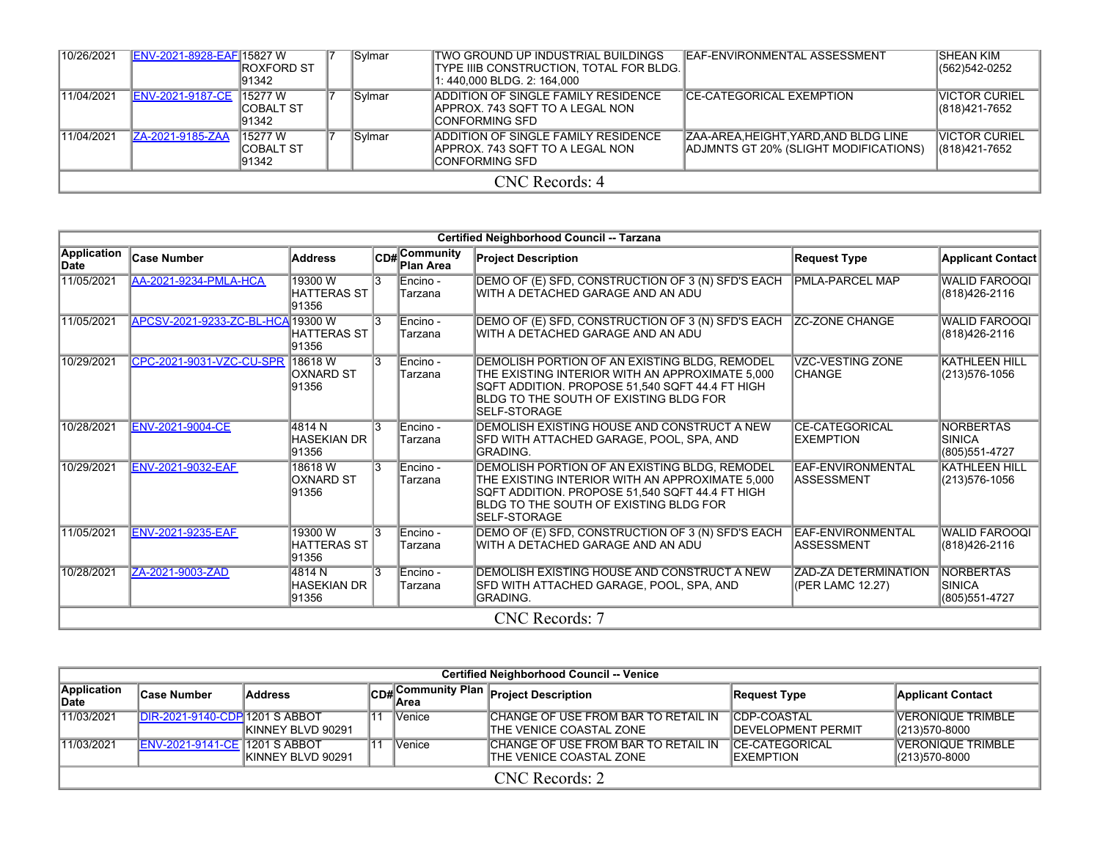| 10/26/2021 | ENV-2021-8928-EAF 15827 W | <b>IROXFORD ST</b><br>191342           |  | Sylmar | ITWO GROUND UP INDUSTRIAL BUILDINGS<br> TYPE IIIB CONSTRUCTION, TOTAL FOR BLDG. <br>1: 440,000 BLDG. 2: 164,000 | <b>IEAF-ENVIRONMENTAL ASSESSMENT</b>                                         | ISHEAN KIM<br>(562)542-0252     |  |  |
|------------|---------------------------|----------------------------------------|--|--------|-----------------------------------------------------------------------------------------------------------------|------------------------------------------------------------------------------|---------------------------------|--|--|
| 11/04/2021 | <b>ENV-2021-9187-CE</b>   | 15277 W<br>ICOBALT ST<br>191342        |  | Sylmar | <b>IADDITION OF SINGLE FAMILY RESIDENCE</b><br>IAPPROX. 743 SQFT TO A LEGAL NON<br>ICONFORMING SFD              | ICE-CATEGORICAL EXEMPTION                                                    | IVICTOR CURIEL<br>(818)421-7652 |  |  |
| 11/04/2021 | ZA-2021-9185-ZAA          | 15277 W<br><b>ICOBALT ST</b><br>191342 |  | Sylmar | <b>IADDITION OF SINGLE FAMILY RESIDENCE</b><br>IAPPROX. 743 SQFT TO A LEGAL NON<br>ICONFORMING SFD              | ZAA-AREA.HEIGHT.YARD.AND BLDG LINE<br>IADJMNTS GT 20% (SLIGHT MODIFICATIONS) | IVICTOR CURIEL<br>(818)421-7652 |  |  |
|            | CNC Records: 4            |                                        |  |        |                                                                                                                 |                                                                              |                                 |  |  |

|                     |                                   |                                        |                |                            | Certified Neighborhood Council -- Tarzana                                                                                                                                                                             |                                                 |                                                     |
|---------------------|-----------------------------------|----------------------------------------|----------------|----------------------------|-----------------------------------------------------------------------------------------------------------------------------------------------------------------------------------------------------------------------|-------------------------------------------------|-----------------------------------------------------|
| Application<br>Date | <b>Case Number</b>                | <b>Address</b>                         |                | CD# Community<br>Plan Area | <b>Project Description</b>                                                                                                                                                                                            | <b>Request Type</b>                             | Applicant Contact                                   |
| 11/05/2021          | <b>AA-2021-9234-PMLA-HCA</b>      | 19300W<br><b>HATTERAS ST</b><br>91356  | 13             | Encino -<br>Tarzana        | DEMO OF (E) SFD, CONSTRUCTION OF 3 (N) SFD'S EACH<br>WITH A DETACHED GARAGE AND AN ADU                                                                                                                                | <b>PMLA-PARCEL MAP</b>                          | <b>WALID FAROOQI</b><br>(818) 426-2116              |
| 11/05/2021          | APCSV-2021-9233-ZC-BL-HCA 19300 W | <b>HATTERAS ST</b><br>91356            | $\overline{3}$ | Encino -<br>Tarzana        | DEMO OF (E) SFD, CONSTRUCTION OF 3 (N) SFD'S EACH<br>WITH A DETACHED GARAGE AND AN ADU                                                                                                                                | <b>ZC-ZONE CHANGE</b>                           | <b>WALID FAROOQI</b><br>(818)426-2116               |
| 10/29/2021          | CPC-2021-9031-VZC-CU-SPR          | 18618W<br><b>OXNARD ST</b><br>91356    | 13             | Encino -<br>Tarzana        | DEMOLISH PORTION OF AN EXISTING BLDG, REMODEL<br>THE EXISTING INTERIOR WITH AN APPROXIMATE 5.000<br>SQFT ADDITION. PROPOSE 51,540 SQFT 44.4 FT HIGH<br>BLDG TO THE SOUTH OF EXISTING BLDG FOR<br><b>ISELF-STORAGE</b> | <b>VZC-VESTING ZONE</b><br><b>CHANGE</b>        | <b>KATHLEEN HILL</b><br>(213) 576-1056              |
| 10/28/2021          | ENV-2021-9004-CE                  | 4814 N<br><b>HASEKIAN DR</b><br>91356  | 13             | Encino -<br>Tarzana        | DEMOLISH EXISTING HOUSE AND CONSTRUCT A NEW<br>ISFD WITH ATTACHED GARAGE, POOL, SPA, AND<br>IGRADING.                                                                                                                 | <b>CE-CATEGORICAL</b><br><b>EXEMPTION</b>       | <b>NORBERTAS</b><br><b>SINICA</b><br>(805) 551-4727 |
| 10/29/2021          | ENV-2021-9032-EAF                 | 18618W<br>OXNARD ST<br>91356           | $\overline{3}$ | Encino -<br>Tarzana        | DEMOLISH PORTION OF AN EXISTING BLDG, REMODEL<br>THE EXISTING INTERIOR WITH AN APPROXIMATE 5.000<br>SQFT ADDITION. PROPOSE 51,540 SQFT 44.4 FT HIGH<br>BLDG TO THE SOUTH OF EXISTING BLDG FOR<br><b>ISELF-STORAGE</b> | EAF-ENVIRONMENTAL<br><b>ASSESSMENT</b>          | <b>KATHLEEN HILL</b><br>(213) 576-1056              |
| 11/05/2021          | <b>ENV-2021-9235-EAF</b>          | 19300 W<br><b>HATTERAS ST</b><br>91356 | 13             | Encino -<br>Tarzana        | DEMO OF (E) SFD, CONSTRUCTION OF 3 (N) SFD'S EACH<br>WITH A DETACHED GARAGE AND AN ADU                                                                                                                                | <b>EAF-ENVIRONMENTAL</b><br><b>ASSESSMENT</b>   | <b>WALID FAROOQI</b><br>(818) 426-2116              |
| 10/28/2021          | ZA-2021-9003-ZAD                  | 4814 N<br><b>HASEKIAN DR</b><br>91356  | $\mathbf{R}$   | Encino -<br>Tarzana        | DEMOLISH EXISTING HOUSE AND CONSTRUCT A NEW<br>SFD WITH ATTACHED GARAGE, POOL, SPA, AND<br>IGRADING.                                                                                                                  | <b>ZAD-ZA DETERMINATION</b><br>(PER LAMC 12.27) | <b>NORBERTAS</b><br><b>SINICA</b><br>(805) 551-4727 |
|                     |                                   |                                        |                |                            | CNC Records: 7                                                                                                                                                                                                        |                                                 |                                                     |

|                      | <b>Certified Neighborhood Council -- Venice</b> |                    |                        |               |                                                                        |                                                  |                                              |  |  |
|----------------------|-------------------------------------------------|--------------------|------------------------|---------------|------------------------------------------------------------------------|--------------------------------------------------|----------------------------------------------|--|--|
| Application<br>∣Date | ∣Case Number                                    | <b>Address</b>     |                        |               | CD# Community Plan Project Description                                 | Request Type                                     | <b>Applicant Contact</b>                     |  |  |
| 11/03/2021           | <b>IDIR-2021-9140-CDP 1201 S ABBOT</b>          | KINNEY BLVD 90291  | $\mathbf{11}^{\prime}$ | <b>Venice</b> | CHANGE OF USE FROM BAR TO RETAIL IN<br>ITHE VENICE COASTAL ZONE        | <b>CDP-COASTAL</b><br><b>IDEVELOPMENT PERMIT</b> | <b>VERONIQUE TRIMBLE</b><br>$ (213)570-8000$ |  |  |
| 11/03/2021           | ENV-2021-9141-CE 1201 S ABBOT                   | IKINNEY BLVD 90291 | $\blacksquare$         | <b>Venice</b> | CHANGE OF USE FROM BAR TO RETAIL IN<br><b>ITHE VENICE COASTAL ZONE</b> | <b>ICE-CATEGORICAL</b><br><b>IEXEMPTION</b>      | <b>VERONIQUE TRIMBLE</b><br>$ (213)570-8000$ |  |  |
|                      | CNC Records: 2                                  |                    |                        |               |                                                                        |                                                  |                                              |  |  |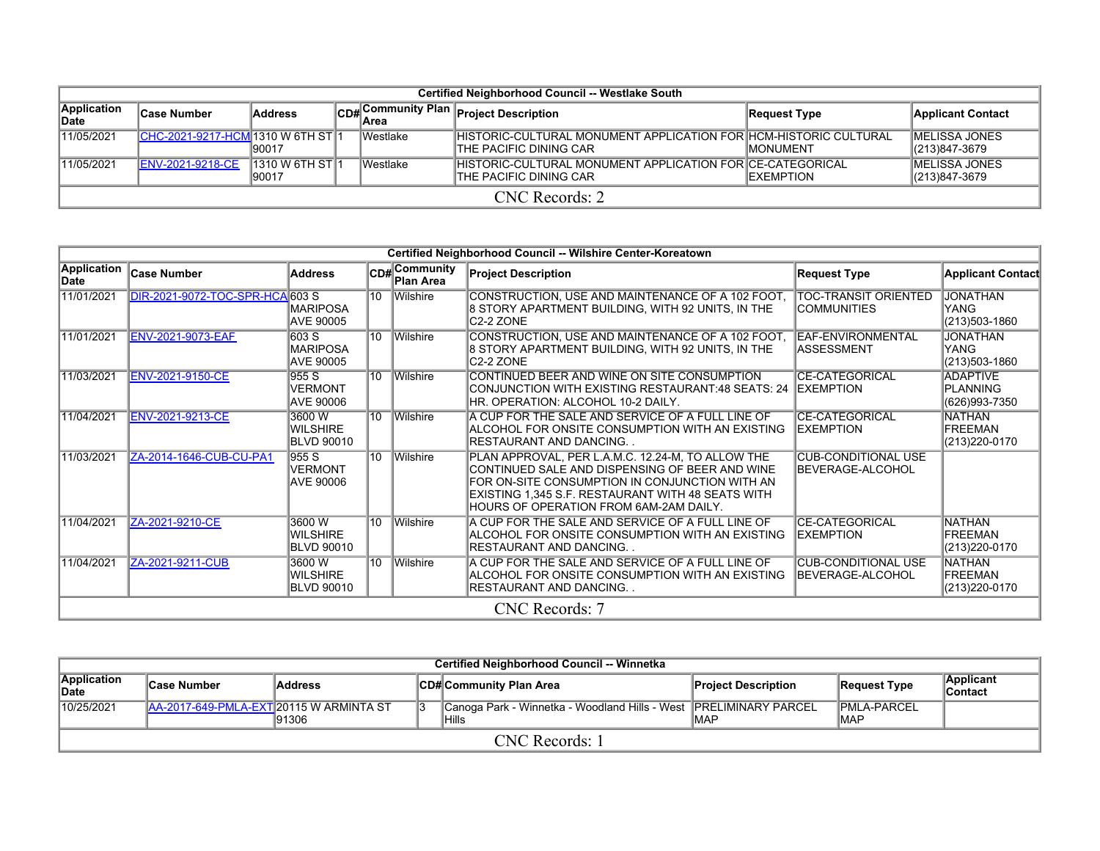|                      | Certified Neighborhood Council -- Westlake South |                           |  |           |                                                                                             |                   |                                           |  |  |
|----------------------|--------------------------------------------------|---------------------------|--|-----------|---------------------------------------------------------------------------------------------|-------------------|-------------------------------------------|--|--|
| Application<br>∣Date | <b>Case Number</b>                               | <b>Address</b>            |  |           | CD# Community Plan Project Description                                                      | Request Type      | <b>Applicant Contact</b>                  |  |  |
| 11/05/2021           | ICHC-2021-9217-HCM 1310 W 6TH ST 1               | 190017                    |  | lWestlake | IHISTORIC-CULTURAL MONUMENT APPLICATION FOR HCM-HISTORIC CULTURAL<br>THE PACIFIC DINING CAR | <b>IMONUMENT</b>  | <b>IMELISSA JONES</b><br>$ (213)847-3679$ |  |  |
| 11/05/2021           | <b>IENV-2021-9218-CE</b>                         | 1310 W 6TH ST 1<br>190017 |  | lWestlake | <b>IHISTORIC-CULTURAL MONUMENT APPLICATION FOR CE-CATEGORICAL</b><br>THE PACIFIC DINING CAR | <b>IEXEMPTION</b> | <b>IMELISSA JONES</b><br>$ (213)847-3679$ |  |  |
|                      | $CNC$ Records: 2                                 |                           |  |           |                                                                                             |                   |                                           |  |  |

|                     |                                 |                                                |    |                            | Certified Neighborhood Council -- Wilshire Center-Koreatown                                                                                                                                                                                          |                                                        |                                                   |
|---------------------|---------------------------------|------------------------------------------------|----|----------------------------|------------------------------------------------------------------------------------------------------------------------------------------------------------------------------------------------------------------------------------------------------|--------------------------------------------------------|---------------------------------------------------|
| Application<br>Date | Case Number                     | <b>Address</b>                                 |    | CD# Community<br>Plan Area | <b>Project Description</b>                                                                                                                                                                                                                           | <b>Request Type</b>                                    | <b>Applicant Contact</b>                          |
| 11/01/2021          | DIR-2021-9072-TOC-SPR-HCA 603 S | <b>MARIPOSA</b><br>AVE 90005                   | 10 | Wilshire                   | CONSTRUCTION, USE AND MAINTENANCE OF A 102 FOOT,<br>8 STORY APARTMENT BUILDING, WITH 92 UNITS, IN THE<br>C <sub>2</sub> -2 ZONE                                                                                                                      | <b>TOC-TRANSIT ORIENTED</b><br>ICOMMUNITIES            | <b>JONATHAN</b><br>YANG<br>(213)503-1860          |
| 11/01/2021          | <b>ENV-2021-9073-EAF</b>        | 603S<br><b>MARIPOSA</b><br>AVE 90005           | 10 | Wilshire                   | CONSTRUCTION, USE AND MAINTENANCE OF A 102 FOOT,<br>8 STORY APARTMENT BUILDING, WITH 92 UNITS, IN THE<br>C <sub>2</sub> -2 ZONE                                                                                                                      | <b>IEAF-ENVIRONMENTAL</b><br><b>ASSESSMENT</b>         | <b>JONATHAN</b><br>YANG<br>(213)503-1860          |
| 11/03/2021          | ENV-2021-9150-CE                | 955 S<br><b>VERMONT</b><br>AVE 90006           | 10 | Wilshire                   | CONTINUED BEER AND WINE ON SITE CONSUMPTION<br>CONJUNCTION WITH EXISTING RESTAURANT:48 SEATS: 24  EXEMPTION<br>HR. OPERATION: ALCOHOL 10-2 DAILY.                                                                                                    | <b>CE-CATEGORICAL</b>                                  | <b>ADAPTIVE</b><br>PLANNING<br>(626)993-7350      |
| 11/04/2021          | ENV-2021-9213-CE                | 3600 W<br><b>WILSHIRE</b><br><b>BLVD 90010</b> | 10 | <b>Wilshire</b>            | A CUP FOR THE SALE AND SERVICE OF A FULL LINE OF<br><b>ALCOHOL FOR ONSITE CONSUMPTION WITH AN EXISTING</b><br>IRESTAURANT AND DANCING. .                                                                                                             | <b>CE-CATEGORICAL</b><br><b>EXEMPTION</b>              | <b>NATHAN</b><br><b>FREEMAN</b><br>(213) 220-0170 |
| 11/03/2021          | ZA-2014-1646-CUB-CU-PA1         | 955S<br><b>VERMONT</b><br><b>AVE 90006</b>     | 10 | <b>Wilshire</b>            | PLAN APPROVAL, PER L.A.M.C. 12.24-M, TO ALLOW THE<br>CONTINUED SALE AND DISPENSING OF BEER AND WINE<br>FOR ON-SITE CONSUMPTION IN CONJUNCTION WITH AN<br>EXISTING 1,345 S.F. RESTAURANT WITH 48 SEATS WITH<br>HOURS OF OPERATION FROM 6AM-2AM DAILY. | <b>CUB-CONDITIONAL USE</b><br>BEVERAGE-ALCOHOL         |                                                   |
| 11/04/2021          | ZA-2021-9210-CE                 | 3600 W<br><b>WILSHIRE</b><br>BLVD 90010        | 10 | Wilshire                   | A CUP FOR THE SALE AND SERVICE OF A FULL LINE OF<br><b>ALCOHOL FOR ONSITE CONSUMPTION WITH AN EXISTING</b><br>IRESTAURANT AND DANCING. .                                                                                                             | <b>CE-CATEGORICAL</b><br><b>IEXEMPTION</b>             | <b>NATHAN</b><br>FREEMAN<br>(213) 220-0170        |
| 11/04/2021          | ZA-2021-9211-CUB                | 3600 W<br><b>WILSHIRE</b><br><b>BLVD 90010</b> | 10 | Wilshire                   | A CUP FOR THE SALE AND SERVICE OF A FULL LINE OF<br><b>ALCOHOL FOR ONSITE CONSUMPTION WITH AN EXISTING</b><br><b>RESTAURANT AND DANCING</b>                                                                                                          | <b>CUB-CONDITIONAL USE</b><br><b>IBEVERAGE-ALCOHOL</b> | <b>NATHAN</b><br>FREEMAN<br>(213) 220-0170        |
|                     |                                 |                                                |    |                            | CNC Records: 7                                                                                                                                                                                                                                       |                                                        |                                                   |

|                      | Certified Neighborhood Council -- Winnetka |                |  |                                                                            |                            |                             |                             |  |  |  |  |
|----------------------|--------------------------------------------|----------------|--|----------------------------------------------------------------------------|----------------------------|-----------------------------|-----------------------------|--|--|--|--|
| Application<br>∣Date | ∣Case Number                               | <b>Address</b> |  | ∥CD# Community Plan Area                                                   | <b>Project Description</b> | <b>Request Type</b>         | <b>Applicant</b><br>Contact |  |  |  |  |
| 10/25/2021           | AA-2017-649-PMLA-EXT 20115 W ARMINTA ST    | 91306          |  | Canoga Park - Winnetka - Woodland Hills - West PRELIMINARY PARCEL<br>Hills | <b>IMAP</b>                | <b>IPMLA-PARCEL</b><br>IMAP |                             |  |  |  |  |
| CNC Records: 1       |                                            |                |  |                                                                            |                            |                             |                             |  |  |  |  |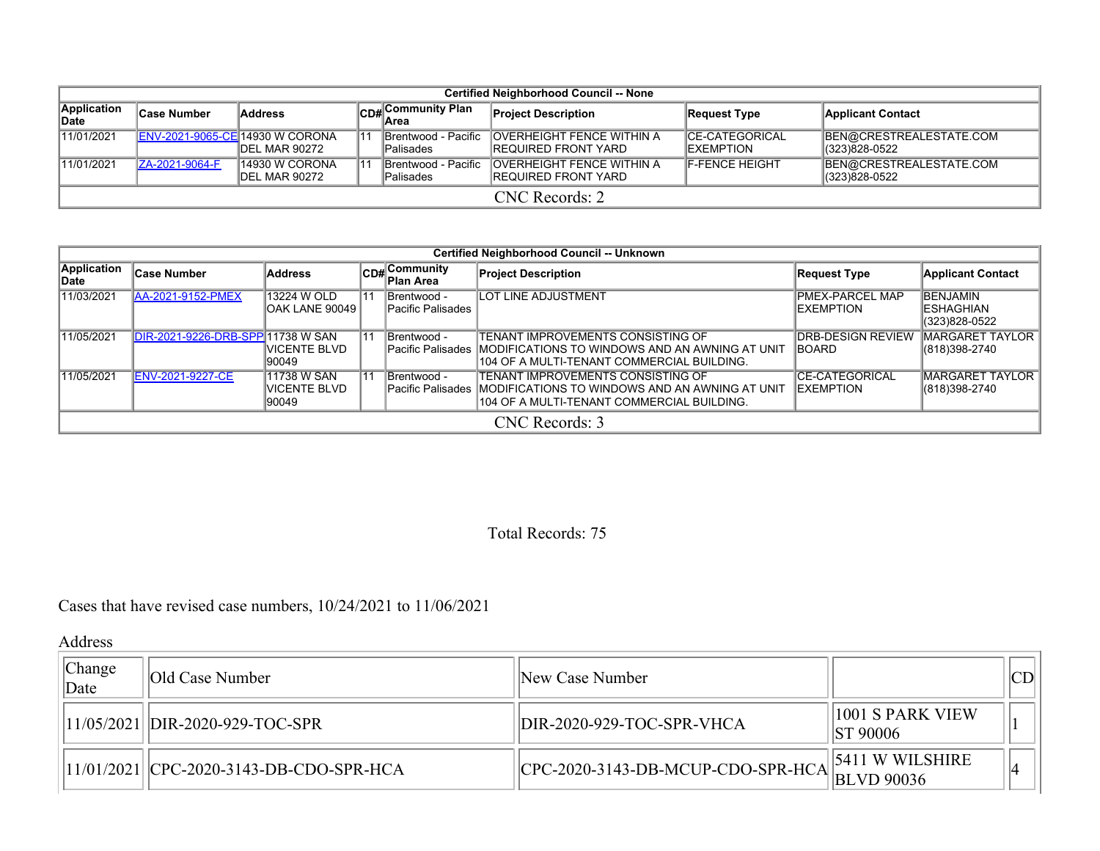|                      | <b>Certified Neighborhood Council -- None</b> |                                  |  |                                         |                                                                 |                                             |                                          |  |  |
|----------------------|-----------------------------------------------|----------------------------------|--|-----------------------------------------|-----------------------------------------------------------------|---------------------------------------------|------------------------------------------|--|--|
| Application<br>∣Date | Case Number                                   | <b>Address</b>                   |  | CD#Community Plan                       | <b>Project Description</b>                                      | <b>Request Type</b>                         | <b>Applicant Contact</b>                 |  |  |
| 11/01/2021           | ENV-2021-9065-CE 14930 W CORONA               | IDEL MAR 90272                   |  | Brentwood - Pacific<br><b>Palisades</b> | <b>OVERHEIGHT FENCE WITHIN A</b><br><b>IREQUIRED FRONT YARD</b> | <b>ICE-CATEGORICAL</b><br><b>IEXEMPTION</b> | BEN@CRESTREALESTATE.COM<br>(323)828-0522 |  |  |
| 11/01/2021           | ZA-2021-9064-F                                | 14930 W CORONA<br>IDEL MAR 90272 |  | Brentwood - Pacific<br><b>Palisades</b> | <b>OVERHEIGHT FENCE WITHIN A</b><br><b>IREQUIRED FRONT YARD</b> | <b>F-FENCE HEIGHT</b>                       | BEN@CRESTREALESTATE.COM<br>(323)828-0522 |  |  |
| CNC Records: 2       |                                               |                                  |  |                                         |                                                                 |                                             |                                          |  |  |

|                      | <b>Certified Neighborhood Council -- Unknown</b> |                                        |    |                                           |                                                                                                                                                               |                                     |                                                       |  |  |  |  |
|----------------------|--------------------------------------------------|----------------------------------------|----|-------------------------------------------|---------------------------------------------------------------------------------------------------------------------------------------------------------------|-------------------------------------|-------------------------------------------------------|--|--|--|--|
| Application<br>lDate | <b>Case Number</b>                               | <b>Address</b>                         |    | $ CD#$ Community<br>lPlan Area            | <b>Project Description</b>                                                                                                                                    | <b>Request Type</b>                 | <b>Applicant Contact</b>                              |  |  |  |  |
| 11/03/2021           | <b>AA-2021-9152-PMEX</b>                         | 13224 W OLD<br>IOAK LANE 90049         | 11 | <b>IBrentwood -</b><br>lPacific Palisades | <b>LOT LINE ADJUSTMENT</b>                                                                                                                                    | <b>PMEX-PARCEL MAP</b><br>EXEMPTION | <b>BENJAMIN</b><br><b>IESHAGHIAN</b><br>(323)828-0522 |  |  |  |  |
| 11/05/2021           | DIR-2021-9226-DRB-SPP 11738 W SAN                | IVICENTE BLVD<br>190049                | 11 | <b>IBrentwood -</b>                       | TENANT IMPROVEMENTS CONSISTING OF<br>IPacific Palisades IMODIFICATIONS TO WINDOWS AND AN AWNING AT UNIT<br>104 OF A MULTI-TENANT COMMERCIAL BUILDING.         | <b>DRB-DESIGN REVIEW</b><br>BOARD   | <b>MARGARET TAYLOR</b><br>(818)398-2740               |  |  |  |  |
| 11/05/2021           | <b>ENV-2021-9227-CE</b>                          | 11738 W SAN<br>IVICENTE BLVD<br>190049 | 11 | <b>IBrentwood -</b>                       | TENANT IMPROVEMENTS CONSISTING OF<br><b>IPacific Palisades IMODIFICATIONS TO WINDOWS AND AN AWNING AT UNIT</b><br>1104 OF A MULTI-TENANT COMMERCIAL BUILDING. | CE-CATEGORICAL<br>EXEMPTION         | <b>MARGARET TAYLOR  </b><br>(818) 398-2740            |  |  |  |  |
|                      | CNC Records: 3                                   |                                        |    |                                           |                                                                                                                                                               |                                     |                                                       |  |  |  |  |

## Total Records: 75

Cases that have revised case numbers, 10/24/2021 to 11/06/2021

Address

| Change<br>Date | IOld Case Number                         | New Case Number                   |                                     | ІCД |
|----------------|------------------------------------------|-----------------------------------|-------------------------------------|-----|
|                | 11/05/2021  DIR-2020-929-TOC-SPR         | DIR-2020-929-TOC-SPR-VHCA         | 1001 S PARK VIEW<br><b>ST 90006</b> |     |
|                | 11/01/2021  CPC-2020-3143-DB-CDO-SPR-HCA | CPC-2020-3143-DB-MCUP-CDO-SPR-HCA | <b>5411 W WILSHIRE</b>              |     |